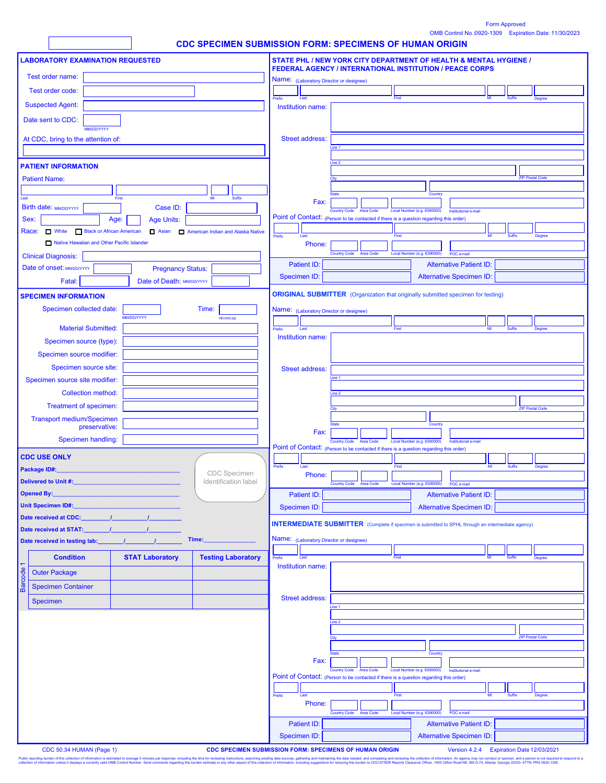OMB Control No.:0920-1309 Form Approved Expiration Date: 11/30/2023

|                                                         |                                                         |                                  |       |                          |       |                                   |        |                                                                                                                               |  | <b>CDC SPECIMEN SUBMISSION FORM: SPECIMENS OF HUMAN ORIGIN</b>                                                                                                                           |  |  |  |  |  |  |
|---------------------------------------------------------|---------------------------------------------------------|----------------------------------|-------|--------------------------|-------|-----------------------------------|--------|-------------------------------------------------------------------------------------------------------------------------------|--|------------------------------------------------------------------------------------------------------------------------------------------------------------------------------------------|--|--|--|--|--|--|
| <b>LABORATORY EXAMINATION REQUESTED</b>                 |                                                         |                                  |       |                          |       |                                   |        | STATE PHL / NEW YORK CITY DEPARTMENT OF HEALTH & MENTAL HYGIENE /<br>FEDERAL AGENCY / INTERNATIONAL INSTITUTION / PEACE CORPS |  |                                                                                                                                                                                          |  |  |  |  |  |  |
|                                                         | Test order name:                                        |                                  |       |                          |       |                                   |        | Name: (Laboratory Director or designee)                                                                                       |  |                                                                                                                                                                                          |  |  |  |  |  |  |
|                                                         | Test order code:                                        |                                  |       |                          |       |                                   |        |                                                                                                                               |  | First                                                                                                                                                                                    |  |  |  |  |  |  |
|                                                         | <b>Suspected Agent:</b>                                 |                                  |       |                          |       |                                   |        | Institution name:                                                                                                             |  |                                                                                                                                                                                          |  |  |  |  |  |  |
|                                                         | Date sent to CDC:                                       |                                  |       |                          |       |                                   |        |                                                                                                                               |  |                                                                                                                                                                                          |  |  |  |  |  |  |
|                                                         | At CDC, bring to the attention of:                      | <b>MM/DD/YYYY</b>                |       |                          |       |                                   |        | <b>Street address:</b>                                                                                                        |  |                                                                                                                                                                                          |  |  |  |  |  |  |
|                                                         |                                                         |                                  |       |                          |       |                                   |        |                                                                                                                               |  | ine <sub>1</sub>                                                                                                                                                                         |  |  |  |  |  |  |
|                                                         | <b>PATIENT INFORMATION</b>                              |                                  |       |                          |       |                                   |        |                                                                                                                               |  | line 2                                                                                                                                                                                   |  |  |  |  |  |  |
|                                                         | <b>Patient Name:</b>                                    |                                  |       |                          |       |                                   |        |                                                                                                                               |  | <b>ZIP Postal Code</b>                                                                                                                                                                   |  |  |  |  |  |  |
|                                                         |                                                         |                                  |       |                          |       |                                   |        |                                                                                                                               |  | Countr                                                                                                                                                                                   |  |  |  |  |  |  |
| Last                                                    | Birth date: MM/DD/YYYY                                  |                                  | First | Case ID:                 |       | Suffix<br>MI                      |        | Fax:                                                                                                                          |  |                                                                                                                                                                                          |  |  |  |  |  |  |
| Sex:                                                    |                                                         |                                  | Age:  | <b>Age Units:</b>        |       |                                   |        |                                                                                                                               |  | Local Number (e.g. 6390000)<br>Institutional e-mail<br><b>Country Code</b><br><b>Area Code</b><br>Point of Contact: (Person to be contacted if there is a question regarding this order) |  |  |  |  |  |  |
|                                                         | Race: <b>D</b> White                                    | <b>Black or African American</b> |       | <b>D</b> Asian           |       | American Indian and Alaska Native |        |                                                                                                                               |  |                                                                                                                                                                                          |  |  |  |  |  |  |
|                                                         | Native Hawaiian and Other Pacific Islander              |                                  |       |                          |       |                                   | Prefix | Last<br>Phone:                                                                                                                |  | First<br><b>Degree</b>                                                                                                                                                                   |  |  |  |  |  |  |
|                                                         | <b>Clinical Diagnosis:</b>                              |                                  |       |                          |       |                                   |        |                                                                                                                               |  | <b>Country Code</b><br><b>Area Code</b><br>Local Number (e.g. 6390000)<br>POC e-mail                                                                                                     |  |  |  |  |  |  |
|                                                         | Date of onset: MM/DD/YYYY                               |                                  |       | <b>Pregnancy Status:</b> |       |                                   |        | <b>Patient ID:</b>                                                                                                            |  | <b>Alternative Patient ID</b>                                                                                                                                                            |  |  |  |  |  |  |
|                                                         | Fatal:                                                  |                                  |       | Date of Death: MM/DDYYYY |       |                                   |        | Specimen ID:                                                                                                                  |  | <b>Alternative Specimen ID:</b>                                                                                                                                                          |  |  |  |  |  |  |
|                                                         | <b>SPECIMEN INFORMATION</b>                             |                                  |       |                          |       |                                   |        |                                                                                                                               |  | <b>ORIGINAL SUBMITTER</b> (Organization that originally submitted specimen for testing)                                                                                                  |  |  |  |  |  |  |
|                                                         | Specimen collected date:                                |                                  |       |                          | Time: |                                   |        | Name: (Laboratory Director or designee)                                                                                       |  |                                                                                                                                                                                          |  |  |  |  |  |  |
|                                                         |                                                         |                                  |       | <b>MM/DD/YYYY</b>        |       | hh:mm:ss                          |        |                                                                                                                               |  |                                                                                                                                                                                          |  |  |  |  |  |  |
|                                                         |                                                         | <b>Material Submitted:</b>       |       |                          |       |                                   | Prefix | Last<br>Institution name:                                                                                                     |  | First<br>Degree<br>Suffix                                                                                                                                                                |  |  |  |  |  |  |
|                                                         | Specimen source (type):                                 |                                  |       |                          |       |                                   |        |                                                                                                                               |  |                                                                                                                                                                                          |  |  |  |  |  |  |
|                                                         | Specimen source modifier:                               |                                  |       |                          |       |                                   |        |                                                                                                                               |  |                                                                                                                                                                                          |  |  |  |  |  |  |
| Specimen source site:<br>Specimen source site modifier: |                                                         |                                  |       | <b>Street address:</b>   |       | ine <sub>1</sub>                  |        |                                                                                                                               |  |                                                                                                                                                                                          |  |  |  |  |  |  |
|                                                         |                                                         | <b>Collection method:</b>        |       |                          |       |                                   |        |                                                                                                                               |  | ine <sub>2</sub>                                                                                                                                                                         |  |  |  |  |  |  |
|                                                         | Treatment of specimen:                                  |                                  |       |                          |       |                                   |        |                                                                                                                               |  |                                                                                                                                                                                          |  |  |  |  |  |  |
|                                                         | <b>Transport medium/Specimen</b>                        |                                  |       |                          |       |                                   |        |                                                                                                                               |  | <b>ZIP Postal Code</b>                                                                                                                                                                   |  |  |  |  |  |  |
|                                                         |                                                         | preservative:                    |       |                          |       |                                   |        | Fax:                                                                                                                          |  | Country                                                                                                                                                                                  |  |  |  |  |  |  |
|                                                         |                                                         | Specimen handling:               |       |                          |       |                                   |        |                                                                                                                               |  | Local Number (e.g. 6390000)<br>Country Code Area Code<br>Institutional e-mail<br>Point of Contact: (Person to be contacted if there is a question regarding this order)                  |  |  |  |  |  |  |
|                                                         | <b>CDC USE ONLY</b>                                     |                                  |       |                          |       |                                   |        |                                                                                                                               |  |                                                                                                                                                                                          |  |  |  |  |  |  |
|                                                         | Package ID#:                                            |                                  |       |                          |       | CDC Specimen                      | Prefix | Phone:                                                                                                                        |  | <b>Degree</b><br>First<br><b>Suffix</b>                                                                                                                                                  |  |  |  |  |  |  |
|                                                         | Delivered to Unit #:                                    |                                  |       |                          |       | Identification label              |        |                                                                                                                               |  |                                                                                                                                                                                          |  |  |  |  |  |  |
|                                                         | Opened By:                                              |                                  |       |                          |       |                                   |        | Patient ID:                                                                                                                   |  | <b>Alternative Patient ID:</b>                                                                                                                                                           |  |  |  |  |  |  |
|                                                         | Unit Specimen ID#:                                      |                                  |       |                          |       |                                   |        | Specimen ID:                                                                                                                  |  | <b>Alternative Specimen ID:</b>                                                                                                                                                          |  |  |  |  |  |  |
|                                                         |                                                         |                                  |       |                          |       |                                   |        |                                                                                                                               |  | <b>INTERMEDIATE SUBMITTER</b> (Complete if specimen is submitted to SPHL through an intermediate agency)                                                                                 |  |  |  |  |  |  |
|                                                         | Date received at STAT:<br>Date received in testing lab: |                                  |       |                          | Time: |                                   |        | Name: (Laboratory Director or designee)                                                                                       |  |                                                                                                                                                                                          |  |  |  |  |  |  |
|                                                         |                                                         |                                  |       |                          |       |                                   |        |                                                                                                                               |  |                                                                                                                                                                                          |  |  |  |  |  |  |
|                                                         | <b>Condition</b>                                        |                                  |       | <b>STAT Laboratory</b>   |       | <b>Testing Laboratory</b>         | Prefix | Last<br>Institution name:                                                                                                     |  | First<br>MI<br><b>Suffix</b><br><b>Degree</b>                                                                                                                                            |  |  |  |  |  |  |
|                                                         | <b>Outer Package</b>                                    |                                  |       |                          |       |                                   |        |                                                                                                                               |  |                                                                                                                                                                                          |  |  |  |  |  |  |
|                                                         | <b>Specimen Container</b>                               |                                  |       |                          |       |                                   |        | <b>Street address:</b>                                                                                                        |  |                                                                                                                                                                                          |  |  |  |  |  |  |
|                                                         | Specimen                                                |                                  |       |                          |       |                                   |        |                                                                                                                               |  | ine <sub>1</sub>                                                                                                                                                                         |  |  |  |  |  |  |
|                                                         |                                                         |                                  |       |                          |       |                                   |        |                                                                                                                               |  | line 2                                                                                                                                                                                   |  |  |  |  |  |  |
|                                                         |                                                         |                                  |       |                          |       |                                   |        |                                                                                                                               |  | <b>ZIP Postal Code</b>                                                                                                                                                                   |  |  |  |  |  |  |
|                                                         |                                                         |                                  |       |                          |       |                                   |        |                                                                                                                               |  |                                                                                                                                                                                          |  |  |  |  |  |  |
|                                                         |                                                         |                                  |       |                          |       |                                   |        | Fax:                                                                                                                          |  | Country                                                                                                                                                                                  |  |  |  |  |  |  |
|                                                         |                                                         |                                  |       |                          |       |                                   |        |                                                                                                                               |  | Area Code<br>Local Number (e.g. 6390000)<br>Institutional e-mail                                                                                                                         |  |  |  |  |  |  |
|                                                         |                                                         |                                  |       |                          |       |                                   |        |                                                                                                                               |  | Point of Contact: (Person to be contacted if there is a question regarding this order)                                                                                                   |  |  |  |  |  |  |
|                                                         |                                                         |                                  |       |                          |       |                                   | Prefix | Last                                                                                                                          |  | First<br>Suffix<br><b>Degree</b><br>MI                                                                                                                                                   |  |  |  |  |  |  |
|                                                         |                                                         |                                  |       |                          |       |                                   |        | Phone:                                                                                                                        |  | POC e-mail<br>Country Code Area Code<br>Local Number (e.g. 6390000)                                                                                                                      |  |  |  |  |  |  |
|                                                         |                                                         |                                  |       |                          |       |                                   |        | Patient ID:                                                                                                                   |  | <b>Alternative Patient ID:</b>                                                                                                                                                           |  |  |  |  |  |  |
|                                                         |                                                         |                                  |       |                          |       |                                   |        | Specimen ID:                                                                                                                  |  | <b>Alternative Specimen ID:</b>                                                                                                                                                          |  |  |  |  |  |  |
|                                                         |                                                         |                                  |       |                          |       |                                   |        |                                                                                                                               |  |                                                                                                                                                                                          |  |  |  |  |  |  |

CDC 50.34 HUMAN (Page 1) CDC SPECIMEN SUBMISSION FORM: SPECIMENS OF HUMAN ORIGIN Version 4.2.4 Expiration Date 12/03/2021

Public reporting burden of this collection of information is estimated to average 5 minutes per response, including the fine for reviewing instructions, searching existing data sources, gathering and maintaining the data n